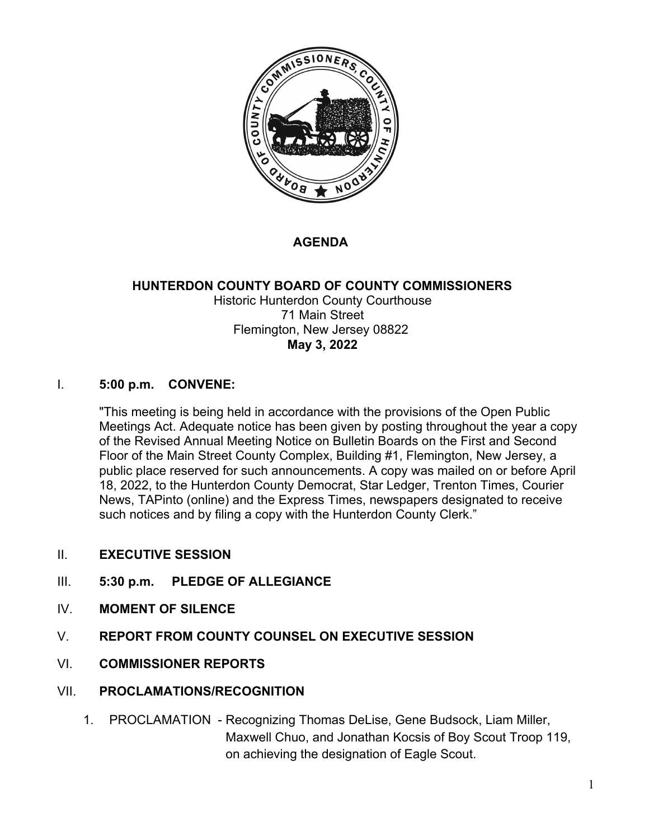

# **AGENDA**

#### **HUNTERDON COUNTY BOARD OF COUNTY COMMISSIONERS** Historic Hunterdon County Courthouse 71 Main Street Flemington, New Jersey 08822 **May 3, 2022**

#### I. **5:00 p.m. CONVENE:**

"This meeting is being held in accordance with the provisions of the Open Public Meetings Act. Adequate notice has been given by posting throughout the year a copy of the Revised Annual Meeting Notice on Bulletin Boards on the First and Second Floor of the Main Street County Complex, Building #1, Flemington, New Jersey, a public place reserved for such announcements. A copy was mailed on or before April 18, 2022, to the Hunterdon County Democrat, Star Ledger, Trenton Times, Courier News, TAPinto (online) and the Express Times, newspapers designated to receive such notices and by filing a copy with the Hunterdon County Clerk."

- II. **EXECUTIVE SESSION**
- III. **5:30 p.m. PLEDGE OF ALLEGIANCE**
- IV. **MOMENT OF SILENCE**
- V. **REPORT FROM COUNTY COUNSEL ON EXECUTIVE SESSION**
- VI. **COMMISSIONER REPORTS**
- VII. **PROCLAMATIONS/RECOGNITION**
	- 1. PROCLAMATION Recognizing Thomas DeLise, Gene Budsock, Liam Miller, Maxwell Chuo, and Jonathan Kocsis of Boy Scout Troop 119, on achieving the designation of Eagle Scout.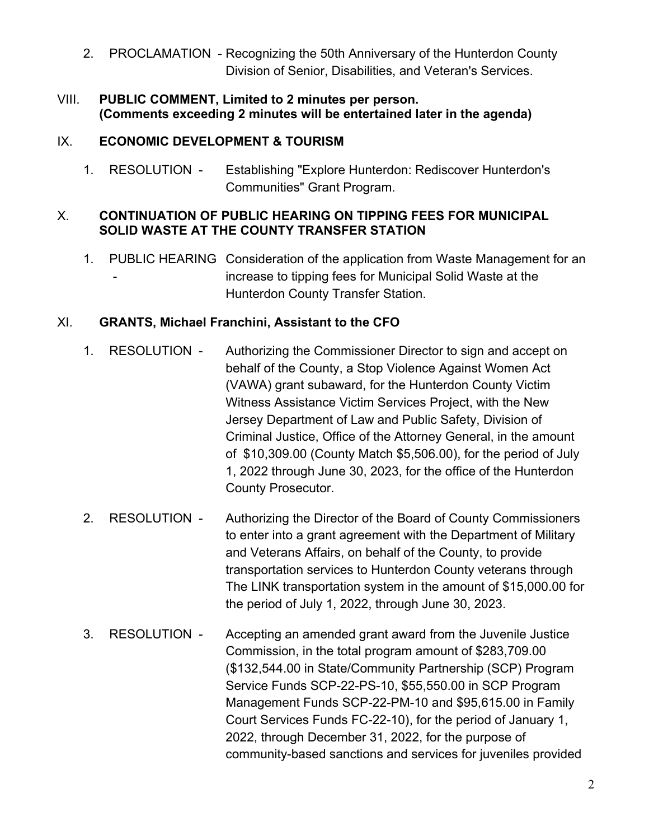- 2. PROCLAMATION Recognizing the 50th Anniversary of the Hunterdon County Division of Senior, Disabilities, and Veteran's Services.
- VIII. **PUBLIC COMMENT, Limited to 2 minutes per person. (Comments exceeding 2 minutes will be entertained later in the agenda)**

### IX. **ECONOMIC DEVELOPMENT & TOURISM**

1. RESOLUTION - Establishing "Explore Hunterdon: Rediscover Hunterdon's Communities" Grant Program.

### X. **CONTINUATION OF PUBLIC HEARING ON TIPPING FEES FOR MUNICIPAL SOLID WASTE AT THE COUNTY TRANSFER STATION**

1. PUBLIC HEARING Consideration of the application from Waste Management for an increase to tipping fees for Municipal Solid Waste at the Hunterdon County Transfer Station.

# XI. **GRANTS, Michael Franchini, Assistant to the CFO**

- 1. RESOLUTION Authorizing the Commissioner Director to sign and accept on behalf of the County, a Stop Violence Against Women Act (VAWA) grant subaward, for the Hunterdon County Victim Witness Assistance Victim Services Project, with the New Jersey Department of Law and Public Safety, Division of Criminal Justice, Office of the Attorney General, in the amount of \$10,309.00 (County Match \$5,506.00), for the period of July 1, 2022 through June 30, 2023, for the office of the Hunterdon County Prosecutor.
- 2. RESOLUTION Authorizing the Director of the Board of County Commissioners to enter into a grant agreement with the Department of Military and Veterans Affairs, on behalf of the County, to provide transportation services to Hunterdon County veterans through The LINK transportation system in the amount of \$15,000.00 for the period of July 1, 2022, through June 30, 2023.
- 3. RESOLUTION Accepting an amended grant award from the Juvenile Justice Commission, in the total program amount of \$283,709.00 (\$132,544.00 in State/Community Partnership (SCP) Program Service Funds SCP-22-PS-10, \$55,550.00 in SCP Program Management Funds SCP-22-PM-10 and \$95,615.00 in Family Court Services Funds FC-22-10), for the period of January 1, 2022, through December 31, 2022, for the purpose of community-based sanctions and services for juveniles provided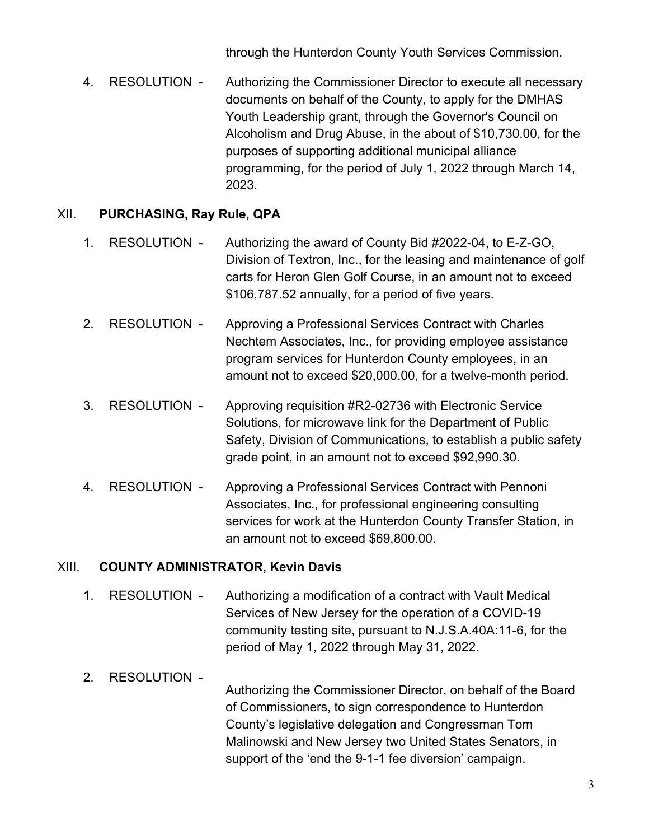through the Hunterdon County Youth Services Commission.

4. RESOLUTION - Authorizing the Commissioner Director to execute all necessary documents on behalf of the County, to apply for the DMHAS Youth Leadership grant, through the Governor's Council on Alcoholism and Drug Abuse, in the about of \$10,730.00, for the purposes of supporting additional municipal alliance programming, for the period of July 1, 2022 through March 14, 2023.

# XII. **PURCHASING, Ray Rule, QPA**

- 1. RESOLUTION Authorizing the award of County Bid #2022-04, to E-Z-GO, Division of Textron, Inc., for the leasing and maintenance of golf carts for Heron Glen Golf Course, in an amount not to exceed \$106,787.52 annually, for a period of five years.
- 2. RESOLUTION Approving a Professional Services Contract with Charles Nechtem Associates, Inc., for providing employee assistance program services for Hunterdon County employees, in an amount not to exceed \$20,000.00, for a twelve-month period.
- 3. RESOLUTION Approving requisition #R2-02736 with Electronic Service Solutions, for microwave link for the Department of Public Safety, Division of Communications, to establish a public safety grade point, in an amount not to exceed \$92,990.30.
- 4. RESOLUTION Approving a Professional Services Contract with Pennoni Associates, Inc., for professional engineering consulting services for work at the Hunterdon County Transfer Station, in an amount not to exceed \$69,800.00.

### XIII. **COUNTY ADMINISTRATOR, Kevin Davis**

- 1. RESOLUTION Authorizing a modification of a contract with Vault Medical Services of New Jersey for the operation of a COVID-19 community testing site, pursuant to N.J.S.A.40A:11-6, for the period of May 1, 2022 through May 31, 2022.
- 2. RESOLUTION Authorizing the Commissioner Director, on behalf of the Board of Commissioners, to sign correspondence to Hunterdon County's legislative delegation and Congressman Tom Malinowski and New Jersey two United States Senators, in support of the 'end the 9-1-1 fee diversion' campaign.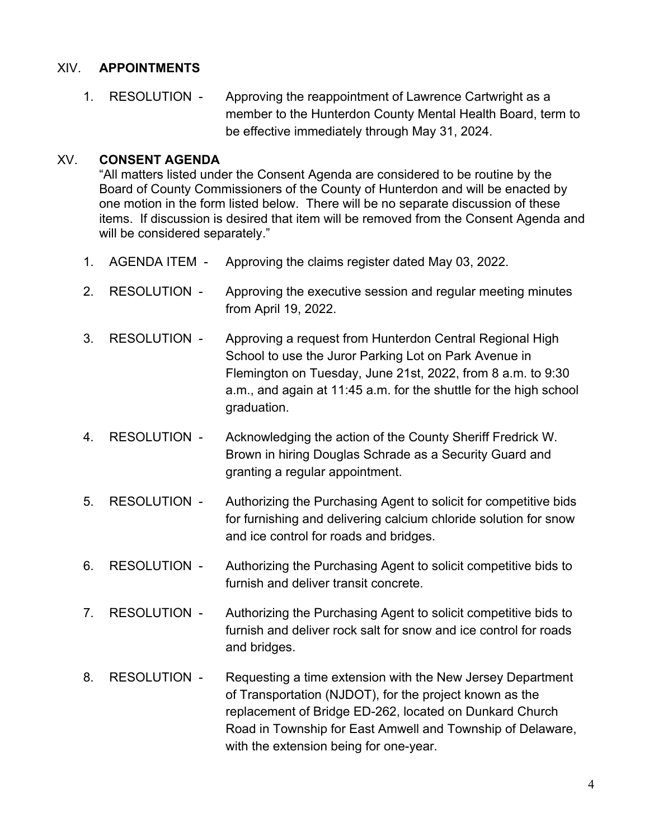#### XIV. **APPOINTMENTS**

1. RESOLUTION - Approving the reappointment of Lawrence Cartwright as a member to the Hunterdon County Mental Health Board, term to be effective immediately through May 31, 2024.

#### XV. **CONSENT AGENDA**

"All matters listed under the Consent Agenda are considered to be routine by the Board of County Commissioners of the County of Hunterdon and will be enacted by one motion in the form listed below. There will be no separate discussion of these items. If discussion is desired that item will be removed from the Consent Agenda and will be considered separately."

- 1. AGENDA ITEM Approving the claims register dated May 03, 2022.
- 2. RESOLUTION Approving the executive session and regular meeting minutes from April 19, 2022.
- 3. RESOLUTION Approving a request from Hunterdon Central Regional High School to use the Juror Parking Lot on Park Avenue in Flemington on Tuesday, June 21st, 2022, from 8 a.m. to 9:30 a.m., and again at 11:45 a.m. for the shuttle for the high school graduation.
- 4. RESOLUTION Acknowledging the action of the County Sheriff Fredrick W. Brown in hiring Douglas Schrade as a Security Guard and granting a regular appointment.
- 5. RESOLUTION Authorizing the Purchasing Agent to solicit for competitive bids for furnishing and delivering calcium chloride solution for snow and ice control for roads and bridges.
- 6. RESOLUTION Authorizing the Purchasing Agent to solicit competitive bids to furnish and deliver transit concrete.
- 7. RESOLUTION Authorizing the Purchasing Agent to solicit competitive bids to furnish and deliver rock salt for snow and ice control for roads and bridges.
- 8. RESOLUTION Requesting a time extension with the New Jersey Department of Transportation (NJDOT), for the project known as the replacement of Bridge ED-262, located on Dunkard Church Road in Township for East Amwell and Township of Delaware, with the extension being for one-year.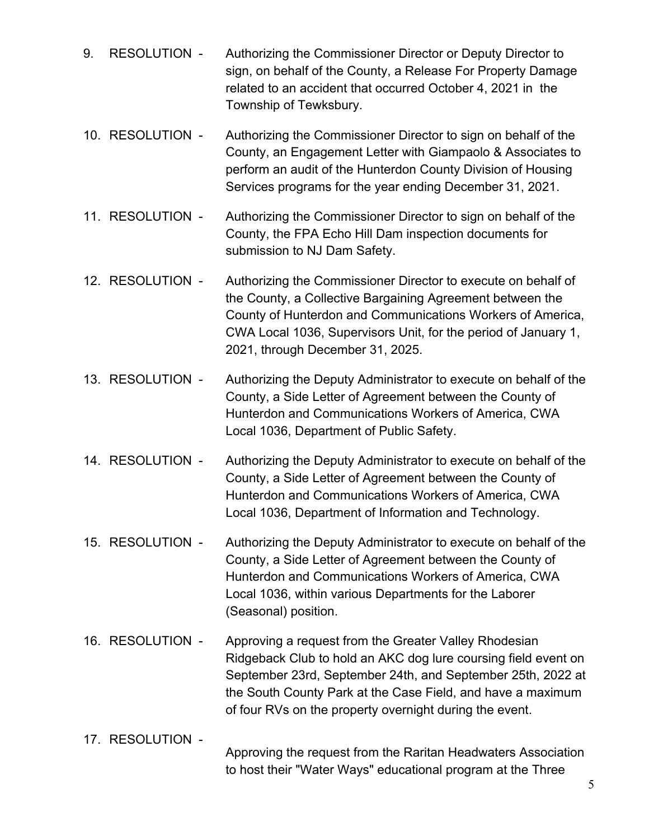- 9. RESOLUTION Authorizing the Commissioner Director or Deputy Director to sign, on behalf of the County, a Release For Property Damage related to an accident that occurred October 4, 2021 in the Township of Tewksbury.
- 10. RESOLUTION Authorizing the Commissioner Director to sign on behalf of the County, an Engagement Letter with Giampaolo & Associates to perform an audit of the Hunterdon County Division of Housing Services programs for the year ending December 31, 2021.
- 11. RESOLUTION Authorizing the Commissioner Director to sign on behalf of the County, the FPA Echo Hill Dam inspection documents for submission to NJ Dam Safety.
- 12. RESOLUTION Authorizing the Commissioner Director to execute on behalf of the County, a Collective Bargaining Agreement between the County of Hunterdon and Communications Workers of America, CWA Local 1036, Supervisors Unit, for the period of January 1, 2021, through December 31, 2025.
- 13. RESOLUTION Authorizing the Deputy Administrator to execute on behalf of the County, a Side Letter of Agreement between the County of Hunterdon and Communications Workers of America, CWA Local 1036, Department of Public Safety.
- 14. RESOLUTION Authorizing the Deputy Administrator to execute on behalf of the County, a Side Letter of Agreement between the County of Hunterdon and Communications Workers of America, CWA Local 1036, Department of Information and Technology.
- 15. RESOLUTION Authorizing the Deputy Administrator to execute on behalf of the County, a Side Letter of Agreement between the County of Hunterdon and Communications Workers of America, CWA Local 1036, within various Departments for the Laborer (Seasonal) position.
- 16. RESOLUTION Approving a request from the Greater Valley Rhodesian Ridgeback Club to hold an AKC dog lure coursing field event on September 23rd, September 24th, and September 25th, 2022 at the South County Park at the Case Field, and have a maximum of four RVs on the property overnight during the event.
- 17. RESOLUTION Approving the request from the Raritan Headwaters Association to host their "Water Ways" educational program at the Three